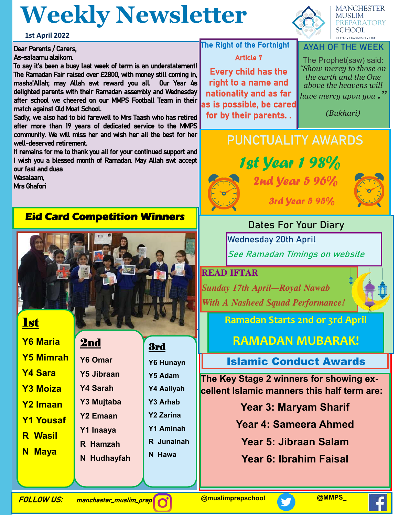## **Weekly Newsletter**

**1st April 2022**

#### Dear Parents / Carers, As-salaamu alaikom.

To say it's been a busy last week of term is an understatement! The Ramadan Fair raised over £2800, with money still coming in, masha'Allah; may Allah swt reward you all. Our Year 4s delighted parents with their Ramadan assembly and Wednesday after school we cheered on our MMPS Football Team in their match against Old Moat School.

Sadly, we also had to bid farewell to Mrs Taash who has retired after more than 19 years of dedicated service to the MMPS community. We will miss her and wish her all the best for her well-deserved retirement.

It remains for me to thank you all for your continued support and I wish you a blessed month of Ramadan. May Allah swt accept our fast and duas

Wasalaam,

Mrs Ghafori

### **Eid Card Competition Winners**



| <b>Y6 Maria</b>  |
|------------------|
| <b>Y5 Mimrah</b> |
| <b>Y4 Sara</b>   |
| <b>Y3 Moiza</b>  |
| <b>Y2 Imaan</b>  |
| <b>Y1 Yousaf</b> |
| <b>R</b> Wasil   |
| <b>N</b> Maya    |

2nd

**Y6 Omar Y5 Jibraan Y4 Sarah Y3 Mujtaba Y2 Emaan Y1 Inaaya**

**R Hamzah**

**N Hudhayfah**

3rd

- **Y6 Hunayn Y5 Adam Y4 Aaliyah Y3 Arhab Y2 Zarina Y1 Aminah R Junainah**
- **N Hawa**



**MANCHESTER MUSLIM** PREPARATORY **SCHOOL FAITH . LEARNING . LIFE** 

#### **AYAH OF THE WEEK**

The Prophet(saw) said: *"Show mercy to those on the earth and the One above the heavens will have mercy upon you ."* 

*(Bukhari)*

### **PUNCTUALITY AWARDS**



**The Right of the Fortnight** 

Article 7

Every child has the right to a name and nationality and as far as is possible, be cared for by their parents. .

> 1st Year 1 98% 2nd *Year 5 96%* 3rd Year 5 95%



**Dates For Your Diary Wednesday 20th April See Ramadan Timings on website**

**READ IFTAR**  *Sunday 17th April—Royal Nawab* 

*With A Nasheed Squad Performance!*

**Ramadan Starts 2nd or 3rd April**

**RAMADAN MUBARAK!**

Islamic Conduct Awards

**The Key Stage 2 winners for showing excellent Islamic manners this half term are:**

- **Year 3: Maryam Sharif**
- **Year 4: Sameera Ahmed**
	- **Year 5: Jibraan Salam**
	- **Year 6: Ibrahim Faisal**

FOLLOW US: manchester\_muslim\_prep **@muslimprepschool @MMPS\_**